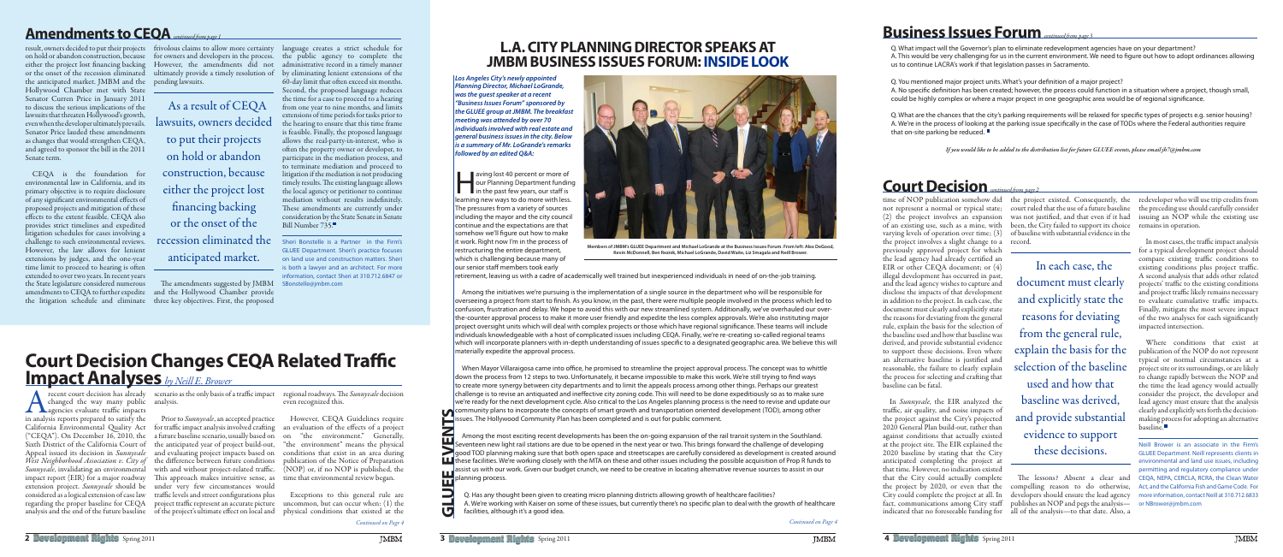## **Amendments to CEQA***continued from page 1*

result, owners decided to put their projects on hold or abandon construction, because either the project lost financing backing or the onset of the recession eliminated the anticipated market. JMBM and the Hollywood Chamber met with State Senator Curren Price in January 2011 to discuss the serious implications of the lawsuits that threaten Hollywood's growth, even when the developer ultimately prevails. Senator Price lauded these amendments as changes that would strengthen CEQA, and agreed to sponsor the bill in the 2011 Senate term.

CEQA is the foundation for environmental law in California, and its primary objective is to require disclosure of any significant environmental effects of proposed projects and mitigation of these effects to the extent feasible. CEQA also provides strict timelines and expedited litigation schedules for cases involving a challenge to such environmental reviews. However, the law allows for lenient extensions by judges, and the one-year time limit to proceed to hearing is often extended to over two years. In recent years the State legislature considered numerous amendments to CEQA to further expedite the litigation schedule and eliminate

frivolous claims to allow more certainty for owners and developers in the process. However, the amendments did not ultimately provide a timely resolution of pending lawsuits.

As a result of CEQA lawsuits, owners decided to put their projects on hold or abandon construction, because either the project lost financing backing or the onset of the recession eliminated the anticipated market.

The amendments suggested by JMBM and the Hollywood Chamber provide three key objectives. First, the proposed language creates a strict schedule for the public agency to complete the administrative record in a timely manner by eliminating lenient extensions of the 60-day limit that often exceed six months. Second, the proposed language reduces the time for a case to proceed to a hearing from one year to nine months, and limits extensions of time periods for tasks prior to the hearing to ensure that this time frame is feasible. Finally, the proposed language allows the real-party-in-interest, who is often the property owner or developer, to participate in the mediation process, and to terminate mediation and proceed to litigation if the mediation is not producing timely results. The existing language allows the local agency or petitioner to continue mediation without results indefinitely. These amendments are currently under consideration by the State Senate in Senate Bill Number 735.

Sheri Bonstelle is a Partner in the Firm's GLUEE Department. Sheri's practice focuses on land use and construction matters. Sheri is both a lawyer and an architect. For more information, contact Sheri at 310.712.6847 or SBonstelle@jmbm.com

## **Court Decision Changes CEQA Related Traffic Impact Analyses** *by Neill E. Brower*

**A** recent court decision has already changed the way many public agencies evaluate traffic impacts in analysis reports prepared to satisfy the changed the way many public agencies evaluate traffic impacts in analysis reports prepared to satisfy the California Environmental Quality Act ("CEQA"). On December 16, 2010, the Sixth District of the California Court of Appeal issued its decision in *Sunnyvale West Neighborhood Association v. City of Sunnyvale*, invalidating an environmental impact report (EIR) for a major roadway extension project. *Sunnyvale* should be considered as a logical extension of case law regarding the proper baseline for CEQA analysis and the end of the future baseline

scenario as the only basis of a traffic impact analysis.

Prior to *Sunnyvale*, an accepted practice for traffic impact analysis involved crafting a future baseline scenario, usually based on the anticipated year of project build-out, and evaluating project impacts based on the difference between future conditions with and without project-related traffic. This approach makes intuitive sense, as under very few circumstances would traffic levels and street configurations plus project traffic represent an accurate picture of the project's ultimate effect on local and

regional roadways. The *Sunnyvale* decision even recognized this.

However, CEQA Guidelines require an evaluation of the effects of a project<br>on "the environment." Generally, on "the environment." "the environment" means the physical conditions that exist in an area during publication of the Notice of Preparation (NOP) or, if no NOP is published, the time that environmental review began.

Exceptions to this general rule are uncommon, but can occur when: (1) the physical conditions that existed at the